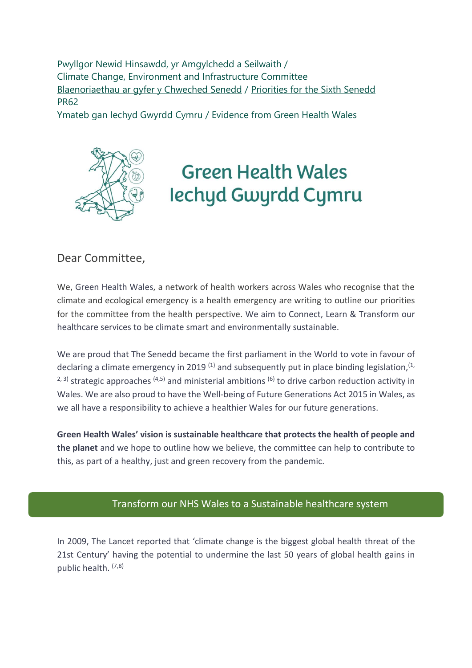Pwyllgor Newid Hinsawdd, yr Amgylchedd a Seilwaith / Climate Change, Environment and Infrastructure Committee [Blaenoriaethau ar gyfer y Chweched Senedd](https://busnes.senedd.cymru/mgConsultationDisplay.aspx?id=427&RPID=1026452002&cp=yes) / [Priorities for the Sixth Senedd](https://business.senedd.wales/mgConsultationDisplay.aspx?id=427&RPID=1026452002&cp=yes) PR62

Ymateb gan Iechyd Gwyrdd Cymru / Evidence from Green Health Wales



# **Green Health Wales** lechyd Gwyrdd Cymru

# Dear Committee,

We, Green Health Wales, a network of health workers across Wales who recognise that the climate and ecological emergency is a health emergency are writing to outline our priorities for the committee from the health perspective. We aim to Connect, Learn & Transform our healthcare services to be climate smart and environmentally sustainable.

We are proud that The Senedd became the first parliament in the World to vote in favour of declaring a climate emergency in 2019<sup>(1)</sup> and subsequently put in place binding legislation,<sup>(1,</sup> <sup>2, 3)</sup> strategic approaches <sup>(4,5)</sup> and ministerial ambitions <sup>(6)</sup> to drive carbon reduction activity in Wales. We are also proud to have the Well-being of Future Generations Act 2015 in Wales, as we all have a responsibility to achieve a healthier Wales for our future generations.

**Green Health Wales' vision is sustainable healthcare that protects the health of people and the planet** and we hope to outline how we believe, the committee can help to contribute to this, as part of a healthy, just and green recovery from the pandemic.

# Transform our NHS Wales to a Sustainable healthcare system

In 2009, The Lancet reported that 'climate change is the biggest global health threat of the 21st Century' having the potential to undermine the last 50 years of global health gains in public health. (7,8)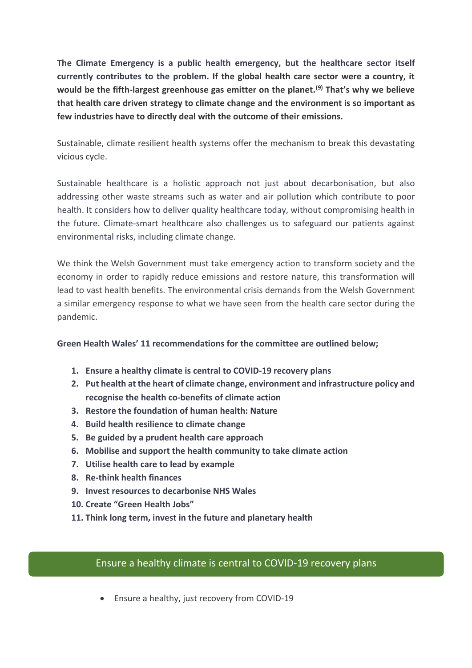**The Climate Emergency is a public health emergency, but the healthcare sector itself currently contributes to the problem. If the global health care sector were a country, it would be the fifth-largest greenhouse gas emitter on the planet.(9) That's why we believe that health care driven strategy to climate change and the environment is so important as few industries have to directly deal with the outcome of their emissions.**

Sustainable, climate resilient health systems offer the mechanism to break this devastating vicious cycle.

Sustainable healthcare is a holistic approach not just about decarbonisation, but also addressing other waste streams such as water and air pollution which contribute to poor health. It considers how to deliver quality healthcare today, without compromising health in the future. Climate-smart healthcare also challenges us to safeguard our patients against environmental risks, including climate change.

We think the Welsh Government must take emergency action to transform society and the economy in order to rapidly reduce emissions and restore nature, this transformation will lead to vast health benefits. The environmental crisis demands from the Welsh Government a similar emergency response to what we have seen from the health care sector during the pandemic.

## **Green Health Wales' 11 recommendations for the committee are outlined below;**

- **1. Ensure a healthy climate is central to COVID-19 recovery plans**
- **2. Put health at the heart of climate change, environment and infrastructure policy and recognise the health co-benefits of climate action**
- **3. Restore the foundation of human health: Nature**
- **4. Build health resilience to climate change**
- **5. Be guided by a prudent health care approach**
- **6. Mobilise and support the health community to take climate action**
- **7. Utilise health care to lead by example**
- **8. Re-think health finances**
- **9. Invest resources to decarbonise NHS Wales**
- **10. Create "Green Health Jobs"**
- **11. Think long term, invest in the future and planetary health**

## Ensure a healthy climate is central to COVID-19 recovery plans

• Ensure a healthy, just recovery from COVID-19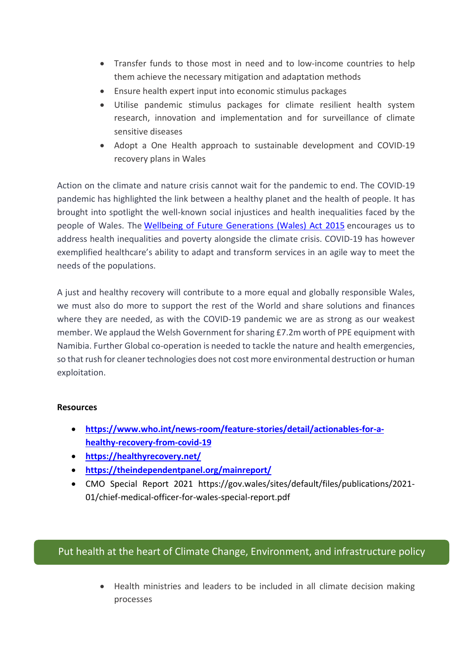- Transfer funds to those most in need and to low-income countries to help them achieve the necessary mitigation and adaptation methods
- Ensure health expert input into economic stimulus packages
- Utilise pandemic stimulus packages for climate resilient health system research, innovation and implementation and for surveillance of climate sensitive diseases
- Adopt a One Health approach to sustainable development and COVID-19 recovery plans in Wales

Action on the climate and nature crisis cannot wait for the pandemic to end. The COVID-19 pandemic has highlighted the link between a healthy planet and the health of people. It has brought into spotlight the well-known social injustices and health inequalities faced by the people of Wales. The Wellbeing of Future [Generations](https://www.futuregenerations.wales/about-us/future-generations-act/) (Wales) Act 2015 encourages us to address health inequalities and poverty alongside the climate crisis. COVID-19 has however exemplified healthcare's ability to adapt and transform services in an agile way to meet the needs of the populations.

A just and healthy recovery will contribute to a more equal and globally responsible Wales, we must also do more to support the rest of the World and share solutions and finances where they are needed, as with the COVID-19 pandemic we are as strong as our weakest member. We applaud the Welsh Government forsharing £7.2m worth of PPE equipment with Namibia. Further Global co-operation is needed to tackle the nature and health emergencies, so that rush for cleaner technologies does not cost more environmental destruction or human exploitation.

#### **Resources**

- **[https://www.who.int/news-room/feature-stories/detail/actionables-for-a](https://www.who.int/news-room/feature-stories/detail/actionables-for-a-healthy-recovery-from-covid-19)[healthy-recovery-from-covid-19](https://www.who.int/news-room/feature-stories/detail/actionables-for-a-healthy-recovery-from-covid-19)**
- **<https://healthyrecovery.net/>**
- **<https://theindependentpanel.org/mainreport/>**
- CMO Special Report 2021 https://gov.wales/sites/default/files/publications/2021- 01/chief-medical-officer-for-wales-special-report.pdf

# Put health at the heart of Climate Change, Environment, and infrastructure policy

• Health ministries and leaders to be included in all climate decision making processes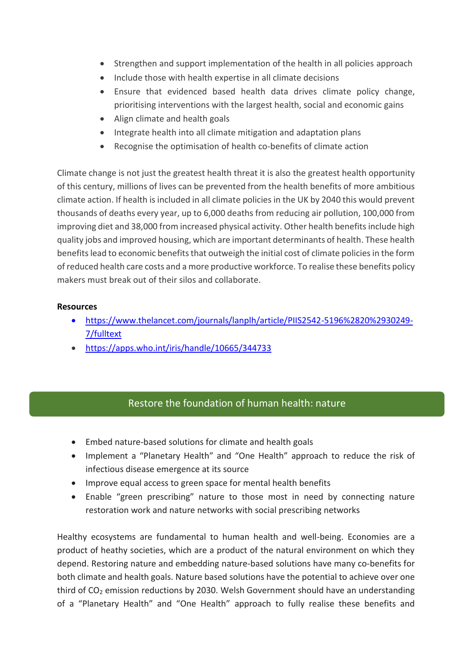- Strengthen and support implementation of the health in all policies approach
- Include those with health expertise in all climate decisions
- Ensure that evidenced based health data drives climate policy change, prioritising interventions with the largest health, social and economic gains
- Align climate and health goals
- Integrate health into all climate mitigation and adaptation plans
- Recognise the optimisation of health co-benefits of climate action

Climate change is not just the greatest health threat it is also the greatest health opportunity of this century, millions of lives can be prevented from the health benefits of more ambitious climate action. If health is included in all climate policies in the UK by 2040 this would prevent thousands of deaths every year, up to 6,000 deaths from reducing air pollution, 100,000 from improving diet and 38,000 from increased physical activity. Other health benefits include high quality jobs and improved housing, which are important determinants of health. These health benefits lead to economic benefits that outweigh the initial cost of climate policies in the form of reduced health care costs and a more productive workforce. To realise these benefits policy makers must break out of their silos and collaborate.

## **Resources**

- [https://www.thelancet.com/journals/lanplh/article/PIIS2542-5196%2820%2930249-](https://www.thelancet.com/journals/lanplh/article/PIIS2542-5196%2820%2930249-7/fulltext) [7/fulltext](https://www.thelancet.com/journals/lanplh/article/PIIS2542-5196%2820%2930249-7/fulltext)
- <https://apps.who.int/iris/handle/10665/344733>

# Restore the foundation of human health: nature

- Embed nature-based solutions for climate and health goals
- Implement a "Planetary Health" and "One Health" approach to reduce the risk of infectious disease emergence at its source
- Improve equal access to green space for mental health benefits
- Enable "green prescribing" nature to those most in need by connecting nature restoration work and nature networks with social prescribing networks

Healthy ecosystems are fundamental to human health and well-being. Economies are a product of heathy societies, which are a product of the natural environment on which they depend. Restoring nature and embedding nature-based solutions have many co-benefits for both climate and health goals. Nature based solutions have the potential to achieve over one third of CO<sub>2</sub> emission reductions by 2030. Welsh Government should have an understanding of a "Planetary Health" and "One Health" approach to fully realise these benefits and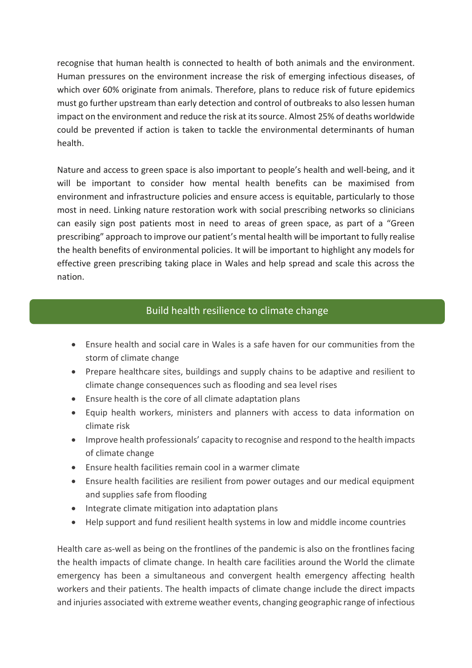recognise that human health is connected to health of both animals and the environment. Human pressures on the environment increase the risk of emerging infectious diseases, of which over 60% originate from animals. Therefore, plans to reduce risk of future epidemics must go further upstream than early detection and control of outbreaks to also lessen human impact on the environment and reduce the risk at its source. Almost 25% of deaths worldwide could be prevented if action is taken to tackle the environmental determinants of human health.

Nature and access to green space is also important to people's health and well-being, and it will be important to consider how mental health benefits can be maximised from environment and infrastructure policies and ensure access is equitable, particularly to those most in need. Linking nature restoration work with social prescribing networks so clinicians can easily sign post patients most in need to areas of green space, as part of a "Green prescribing" approach to improve our patient's mental health will be important to fully realise the health benefits of environmental policies. It will be important to highlight any models for effective green prescribing taking place in Wales and help spread and scale this across the nation.

# Build health resilience to climate change

- Ensure health and social care in Wales is a safe haven for our communities from the storm of climate change
- Prepare healthcare sites, buildings and supply chains to be adaptive and resilient to climate change consequences such as flooding and sea level rises
- Ensure health is the core of all climate adaptation plans
- Equip health workers, ministers and planners with access to data information on climate risk
- Improve health professionals' capacity to recognise and respond to the health impacts of climate change
- Ensure health facilities remain cool in a warmer climate
- Ensure health facilities are resilient from power outages and our medical equipment and supplies safe from flooding
- Integrate climate mitigation into adaptation plans
- Help support and fund resilient health systems in low and middle income countries

Health care as-well as being on the frontlines of the pandemic is also on the frontlines facing the health impacts of climate change. In health care facilities around the World the climate emergency has been a simultaneous and convergent health emergency affecting health workers and their patients. The health impacts of climate change include the direct impacts and injuries associated with extreme weather events, changing geographic range of infectious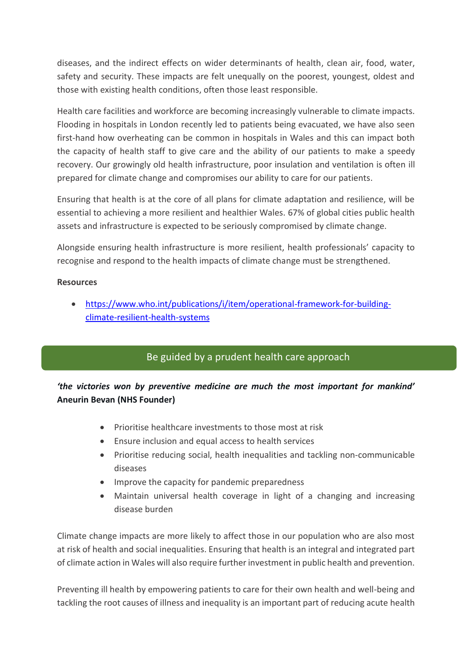diseases, and the indirect effects on wider determinants of health, clean air, food, water, safety and security. These impacts are felt unequally on the poorest, youngest, oldest and those with existing health conditions, often those least responsible.

Health care facilities and workforce are becoming increasingly vulnerable to climate impacts. Flooding in hospitals in London recently led to patients being evacuated, we have also seen first-hand how overheating can be common in hospitals in Wales and this can impact both the capacity of health staff to give care and the ability of our patients to make a speedy recovery. Our growingly old health infrastructure, poor insulation and ventilation is often ill prepared for climate change and compromises our ability to care for our patients.

Ensuring that health is at the core of all plans for climate adaptation and resilience, will be essential to achieving a more resilient and healthier Wales. 67% of global cities public health assets and infrastructure is expected to be seriously compromised by climate change.

Alongside ensuring health infrastructure is more resilient, health professionals' capacity to recognise and respond to the health impacts of climate change must be strengthened.

### **Resources**

• [https://www.who.int/publications/i/item/operational-framework-for-building](https://www.who.int/publications/i/item/operational-framework-for-building-climate-resilient-health-systems)[climate-resilient-health-systems](https://www.who.int/publications/i/item/operational-framework-for-building-climate-resilient-health-systems)

# Be guided by a prudent health care approach

# *'the victories won by preventive medicine are much the most important for mankind'* **Aneurin Bevan (NHS Founder)**

- Prioritise healthcare investments to those most at risk
- Ensure inclusion and equal access to health services
- Prioritise reducing social, health inequalities and tackling non-communicable diseases
- Improve the capacity for pandemic preparedness
- Maintain universal health coverage in light of a changing and increasing disease burden

Climate change impacts are more likely to affect those in our population who are also most at risk of health and social inequalities. Ensuring that health is an integral and integrated part of climate action in Wales will also require further investment in public health and prevention.

Preventing ill health by empowering patients to care for their own health and well-being and tackling the root causes of illness and inequality is an important part of reducing acute health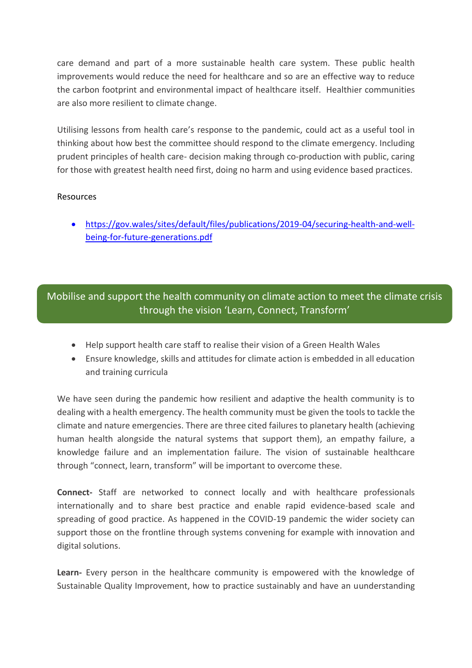care demand and part of a more sustainable health care system. These public health improvements would reduce the need for healthcare and so are an effective way to reduce the carbon footprint and environmental impact of healthcare itself. Healthier communities are also more resilient to climate change.

Utilising lessons from health care's response to the pandemic, could act as a useful tool in thinking about how best the committee should respond to the climate emergency. Including prudent principles of health care- decision making through co-production with public, caring for those with greatest health need first, doing no harm and using evidence based practices.

### Resources

• [https://gov.wales/sites/default/files/publications/2019-04/securing-health-and-well](https://gov.wales/sites/default/files/publications/2019-04/securing-health-and-well-being-for-future-generations.pdf)[being-for-future-generations.pdf](https://gov.wales/sites/default/files/publications/2019-04/securing-health-and-well-being-for-future-generations.pdf)

# Mobilise and support the health community on climate action to meet the climate crisis through the vision 'Learn, Connect, Transform'

- Help support health care staff to realise their vision of a Green Health Wales
- Ensure knowledge, skills and attitudes for climate action is embedded in all education and training curricula

We have seen during the pandemic how resilient and adaptive the health community is to dealing with a health emergency. The health community must be given the tools to tackle the climate and nature emergencies. There are three cited failures to planetary health (achieving human health alongside the natural systems that support them), an empathy failure, a knowledge failure and an implementation failure. The vision of sustainable healthcare through "connect, learn, transform" will be important to overcome these.

**Connect-** Staff are networked to connect locally and with healthcare professionals internationally and to share best practice and enable rapid evidence-based scale and spreading of good practice. As happened in the COVID-19 pandemic the wider society can support those on the frontline through systems convening for example with innovation and digital solutions.

**Learn-** Every person in the healthcare community is empowered with the knowledge of Sustainable Quality Improvement, how to practice sustainably and have an uunderstanding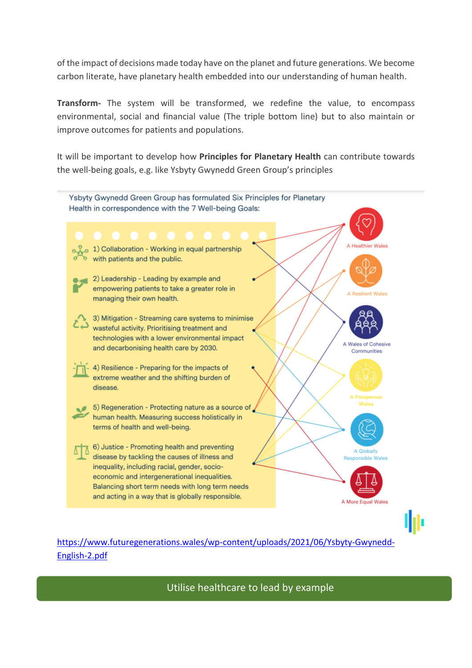of the impact of decisions made today have on the planet and future generations. We become carbon literate, have planetary health embedded into our understanding of human health.

**Transform-** The system will be transformed, we redefine the value, to encompass environmental, social and financial value (The triple bottom line) but to also maintain or improve outcomes for patients and populations.

It will be important to develop how **Principles for Planetary Health** can contribute towards the well-being goals, e.g. like Ysbyty Gwynedd Green Group's principles



# [https://www.futuregenerations.wales/wp-content/uploads/2021/06/Ysbyty-Gwynedd-](https://www.futuregenerations.wales/wp-content/uploads/2021/06/Ysbyty-Gwynedd-English-2.pdf)[English-2.pdf](https://www.futuregenerations.wales/wp-content/uploads/2021/06/Ysbyty-Gwynedd-English-2.pdf)

Utilise healthcare to lead by example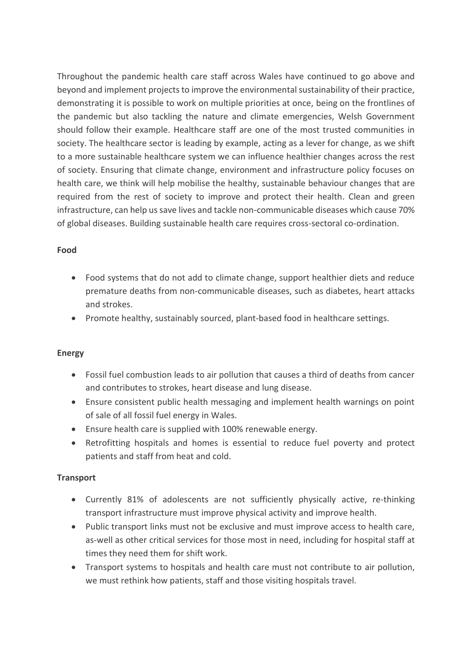Throughout the pandemic health care staff across Wales have continued to go above and beyond and implement projects to improve the environmental sustainability of their practice, demonstrating it is possible to work on multiple priorities at once, being on the frontlines of the pandemic but also tackling the nature and climate emergencies, Welsh Government should follow their example. Healthcare staff are one of the most trusted communities in society. The healthcare sector is leading by example, acting as a lever for change, as we shift to a more sustainable healthcare system we can influence healthier changes across the rest of society. Ensuring that climate change, environment and infrastructure policy focuses on health care, we think will help mobilise the healthy, sustainable behaviour changes that are required from the rest of society to improve and protect their health. Clean and green infrastructure, can help us save lives and tackle non-communicable diseases which cause 70% of global diseases. Building sustainable health care requires cross-sectoral co-ordination.

## **Food**

- Food systems that do not add to climate change, support healthier diets and reduce premature deaths from non-communicable diseases, such as diabetes, heart attacks and strokes.
- Promote healthy, sustainably sourced, plant-based food in healthcare settings.

## **Energy**

- Fossil fuel combustion leads to air pollution that causes a third of deaths from cancer and contributes to strokes, heart disease and lung disease.
- Ensure consistent public health messaging and implement health warnings on point of sale of all fossil fuel energy in Wales.
- Ensure health care is supplied with 100% renewable energy.
- Retrofitting hospitals and homes is essential to reduce fuel poverty and protect patients and staff from heat and cold.

## **Transport**

- Currently 81% of adolescents are not sufficiently physically active, re-thinking transport infrastructure must improve physical activity and improve health.
- Public transport links must not be exclusive and must improve access to health care, as-well as other critical services for those most in need, including for hospital staff at times they need them for shift work.
- Transport systems to hospitals and health care must not contribute to air pollution, we must rethink how patients, staff and those visiting hospitals travel.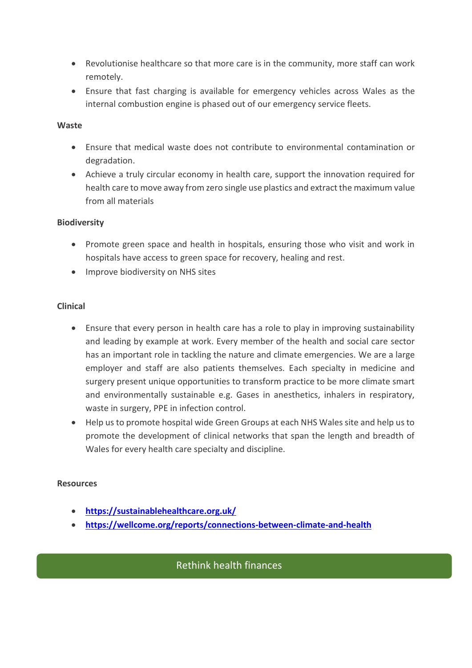- Revolutionise healthcare so that more care is in the community, more staff can work remotely.
- Ensure that fast charging is available for emergency vehicles across Wales as the internal combustion engine is phased out of our emergency service fleets.

### **Waste**

- Ensure that medical waste does not contribute to environmental contamination or degradation.
- Achieve a truly circular economy in health care, support the innovation required for health care to move away from zero single use plastics and extract the maximum value from all materials

### **Biodiversity**

- Promote green space and health in hospitals, ensuring those who visit and work in hospitals have access to green space for recovery, healing and rest.
- Improve biodiversity on NHS sites

### **Clinical**

- Ensure that every person in health care has a role to play in improving sustainability and leading by example at work. Every member of the health and social care sector has an important role in tackling the nature and climate emergencies. We are a large employer and staff are also patients themselves. Each specialty in medicine and surgery present unique opportunities to transform practice to be more climate smart and environmentally sustainable e.g. Gases in anesthetics, inhalers in respiratory, waste in surgery, PPE in infection control.
- Help us to promote hospital wide Green Groups at each NHS Wales site and help us to promote the development of clinical networks that span the length and breadth of Wales for every health care specialty and discipline.

#### **Resources**

• **<https://sustainablehealthcare.org.uk/>**

**through the vision 'Learn, Network, Transform'**

• **<https://wellcome.org/reports/connections-between-climate-and-health>**

# Rethink health finances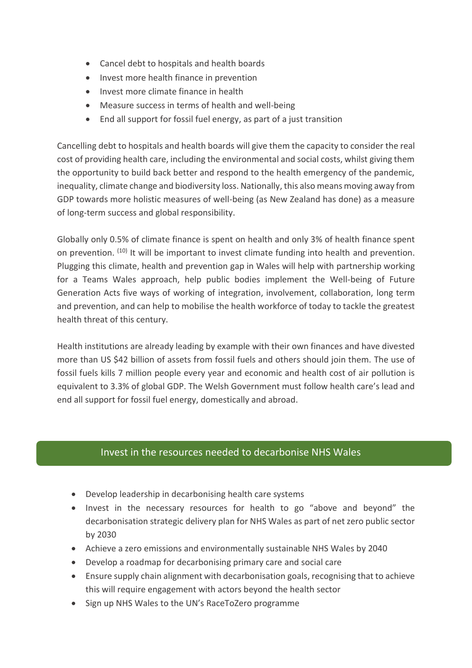- Cancel debt to hospitals and health boards
- Invest more health finance in prevention
- Invest more climate finance in health
- Measure success in terms of health and well-being
- End all support for fossil fuel energy, as part of a just transition

Cancelling debt to hospitals and health boards will give them the capacity to consider the real cost of providing health care, including the environmental and social costs, whilst giving them the opportunity to build back better and respond to the health emergency of the pandemic, inequality, climate change and biodiversity loss. Nationally, this also means moving away from GDP towards more holistic measures of well-being (as New Zealand has done) as a measure of long-term success and global responsibility.

Globally only 0.5% of climate finance is spent on health and only 3% of health finance spent on prevention. (10) It will be important to invest climate funding into health and prevention. Plugging this climate, health and prevention gap in Wales will help with partnership working for a Teams Wales approach, help public bodies implement the Well-being of Future Generation Acts five ways of working of integration, involvement, collaboration, long term and prevention, and can help to mobilise the health workforce of today to tackle the greatest health threat of this century.

Health institutions are already leading by example with their own finances and have divested more than US \$42 billion of assets from fossil fuels and others should join them. The use of fossil fuels kills 7 million people every year and economic and health cost of air pollution is equivalent to 3.3% of global GDP. The Welsh Government must follow health care's lead and end all support for fossil fuel energy, domestically and abroad.

# Invest in the resources needed to decarbonise NHS Wales

- Develop leadership in decarbonising health care systems
- Invest in the necessary resources for health to go "above and beyond" the decarbonisation strategic delivery plan for NHS Wales as part of net zero public sector by 2030
- Achieve a zero emissions and environmentally sustainable NHS Wales by 2040
- Develop a roadmap for decarbonising primary care and social care
- Ensure supply chain alignment with decarbonisation goals, recognising that to achieve this will require engagement with actors beyond the health sector
- Sign up NHS Wales to the UN's RaceToZero programme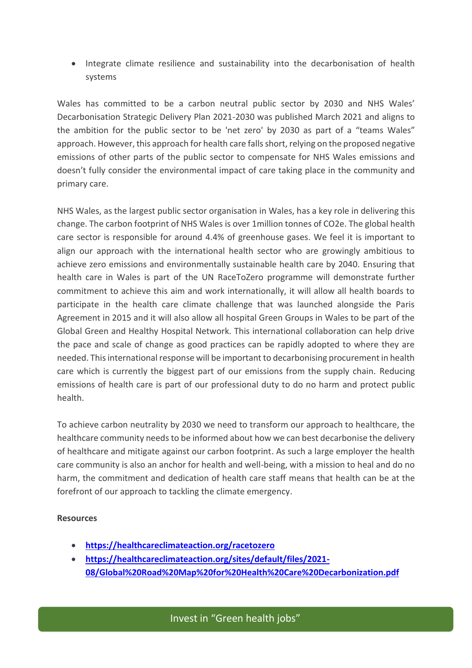• Integrate climate resilience and sustainability into the decarbonisation of health systems

Wales has committed to be a carbon neutral public sector by 2030 and NHS Wales' Decarbonisation Strategic Delivery Plan 2021-2030 was published March 2021 and aligns to the ambition for the public sector to be 'net zero' by 2030 as part of a "teams Wales" approach. However, this approach for health care fallsshort, relying on the proposed negative emissions of other parts of the public sector to compensate for NHS Wales emissions and doesn't fully consider the environmental impact of care taking place in the community and primary care.

NHS Wales, as the largest public sector organisation in Wales, has a key role in delivering this change. The carbon footprint of NHS Wales is over 1million tonnes of CO2e. The global health care sector is responsible for around 4.4% of greenhouse gases. We feel it is important to align our approach with the international health sector who are growingly ambitious to achieve zero emissions and environmentally sustainable health care by 2040. Ensuring that health care in Wales is part of the UN RaceToZero programme will demonstrate further commitment to achieve this aim and work internationally, it will allow all health boards to participate in the health care climate challenge that was launched alongside the Paris Agreement in 2015 and it will also allow all hospital Green Groups in Wales to be part of the Global Green and Healthy Hospital Network. This international collaboration can help drive the pace and scale of change as good practices can be rapidly adopted to where they are needed. This international response will be important to decarbonising procurement in health care which is currently the biggest part of our emissions from the supply chain. Reducing emissions of health care is part of our professional duty to do no harm and protect public health.

To achieve carbon neutrality by 2030 we need to transform our approach to healthcare, the healthcare community needs to be informed about how we can best decarbonise the delivery of healthcare and mitigate against our carbon footprint. As such a large employer the health care community is also an anchor for health and well-being, with a mission to heal and do no harm, the commitment and dedication of health care staff means that health can be at the forefront of our approach to tackling the climate emergency.

#### **Resources**

• **<https://healthcareclimateaction.org/racetozero>**

**through the vision 'Learn, Network, Transform'**

• **[https://healthcareclimateaction.org/sites/default/files/2021-](https://healthcareclimateaction.org/sites/default/files/2021-08/Global%20Road%20Map%20for%20Health%20Care%20Decarbonization.pdf) [08/Global%20Road%20Map%20for%20Health%20Care%20Decarbonization.pdf](https://healthcareclimateaction.org/sites/default/files/2021-08/Global%20Road%20Map%20for%20Health%20Care%20Decarbonization.pdf)**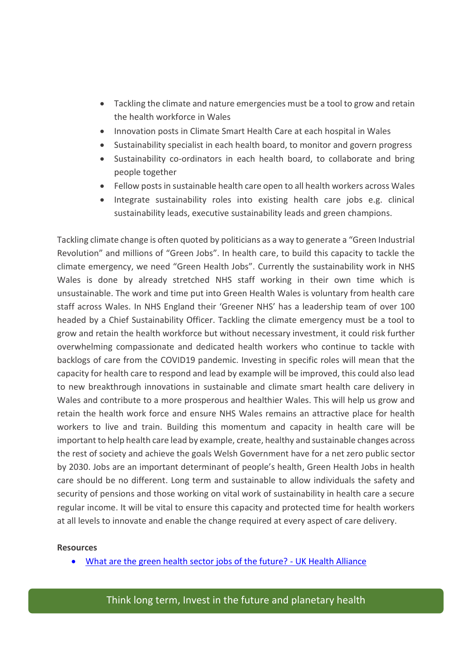- Tackling the climate and nature emergencies must be a tool to grow and retain the health workforce in Wales
- Innovation posts in Climate Smart Health Care at each hospital in Wales
- Sustainability specialist in each health board, to monitor and govern progress
- Sustainability co-ordinators in each health board, to collaborate and bring people together
- Fellow posts in sustainable health care open to all health workers across Wales
- Integrate sustainability roles into existing health care jobs e.g. clinical sustainability leads, executive sustainability leads and green champions.

Tackling climate change is often quoted by politicians as a way to generate a "Green Industrial Revolution" and millions of "Green Jobs". In health care, to build this capacity to tackle the climate emergency, we need "Green Health Jobs". Currently the sustainability work in NHS Wales is done by already stretched NHS staff working in their own time which is unsustainable. The work and time put into Green Health Wales is voluntary from health care staff across Wales. In NHS England their 'Greener NHS' has a leadership team of over 100 headed by a Chief Sustainability Officer. Tackling the climate emergency must be a tool to grow and retain the health workforce but without necessary investment, it could risk further overwhelming compassionate and dedicated health workers who continue to tackle with backlogs of care from the COVID19 pandemic. Investing in specific roles will mean that the capacity for health care to respond and lead by example will be improved, this could also lead to new breakthrough innovations in sustainable and climate smart health care delivery in Wales and contribute to a more prosperous and healthier Wales. This will help us grow and retain the health work force and ensure NHS Wales remains an attractive place for health workers to live and train. Building this momentum and capacity in health care will be important to help health care lead by example, create, healthy and sustainable changes across the rest of society and achieve the goals Welsh Government have for a net zero public sector by 2030. Jobs are an important determinant of people's health, Green Health Jobs in health care should be no different. Long term and sustainable to allow individuals the safety and security of pensions and those working on vital work of sustainability in health care a secure regular income. It will be vital to ensure this capacity and protected time for health workers at all levels to innovate and enable the change required at every aspect of care delivery.

#### **Resources**

• [What are the green health sector jobs of the future? -](http://www.ukhealthalliance.org/what-are-the-green-health-sector-jobs-of-the-future/) UK Health Alliance

Think long term, Invest in the future and planetary health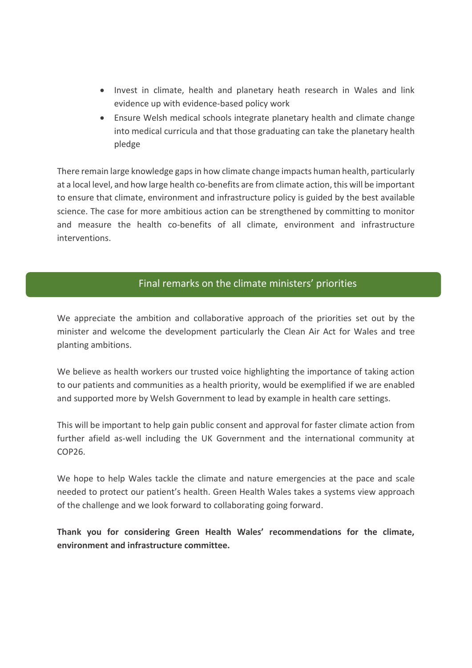- Invest in climate, health and planetary heath research in Wales and link evidence up with evidence-based policy work
- Ensure Welsh medical schools integrate planetary health and climate change into medical curricula and that those graduating can take the planetary health pledge

There remain large knowledge gaps in how climate change impacts human health, particularly at a local level, and how large health co-benefits are from climate action, this will be important to ensure that climate, environment and infrastructure policy is guided by the best available science. The case for more ambitious action can be strengthened by committing to monitor and measure the health co-benefits of all climate, environment and infrastructure interventions.

# Final remarks on the climate ministers' priorities

We appreciate the ambition and collaborative approach of the priorities set out by the minister and welcome the development particularly the Clean Air Act for Wales and tree planting ambitions.

We believe as health workers our trusted voice highlighting the importance of taking action to our patients and communities as a health priority, would be exemplified if we are enabled and supported more by Welsh Government to lead by example in health care settings.

This will be important to help gain public consent and approval for faster climate action from further afield as-well including the UK Government and the international community at COP26.

We hope to help Wales tackle the climate and nature emergencies at the pace and scale needed to protect our patient's health. Green Health Wales takes a systems view approach of the challenge and we look forward to collaborating going forward.

**Thank you for considering Green Health Wales' recommendations for the climate, environment and infrastructure committee.**